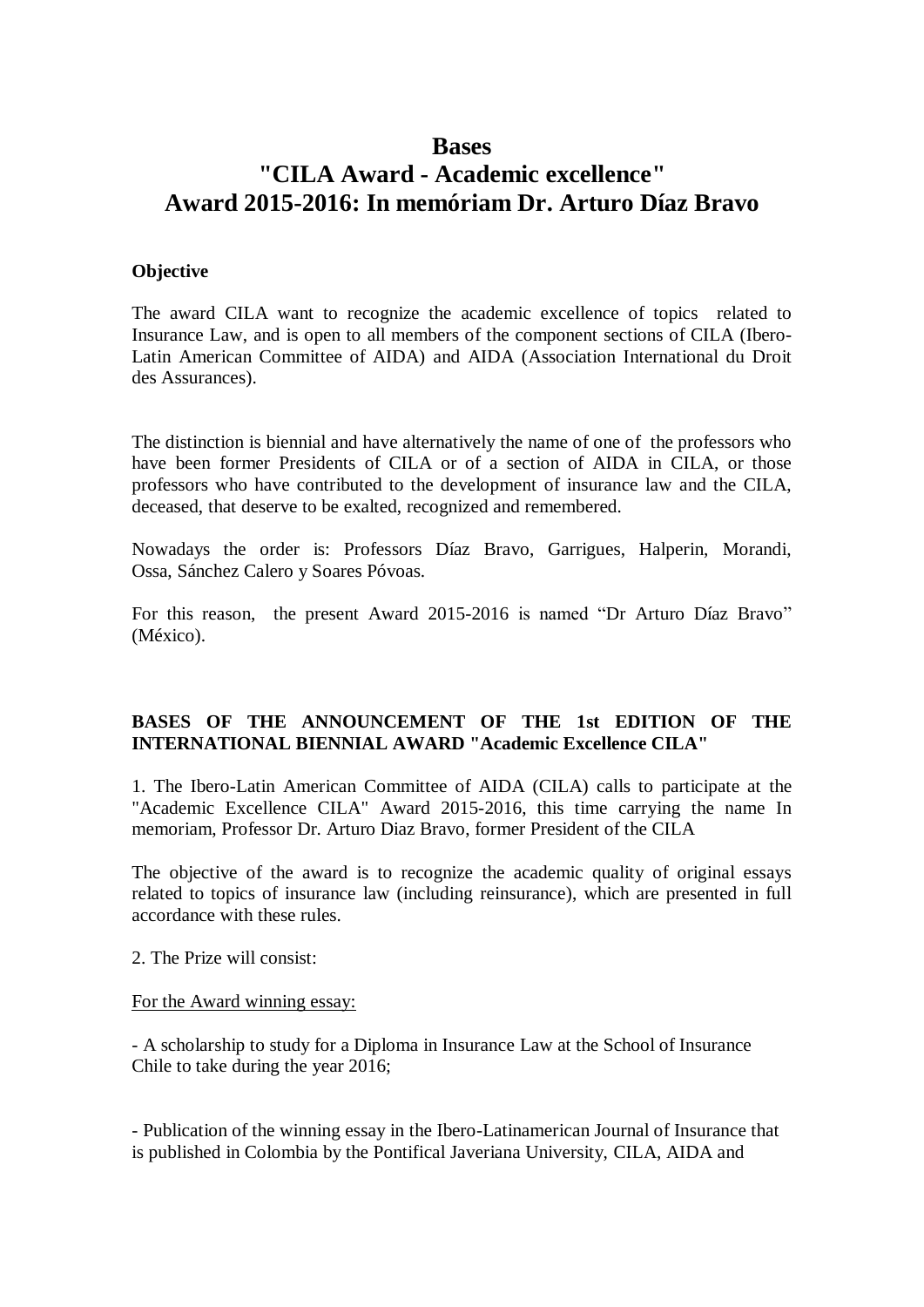## **Bases**

# **"CILA Award - Academic excellence" Award 2015-2016: In memóriam Dr. Arturo Díaz Bravo**

#### **Objective**

The award CILA want to recognize the academic excellence of topics related to Insurance Law, and is open to all members of the component sections of CILA (Ibero-Latin American Committee of AIDA) and AIDA (Association International du Droit des Assurances).

The distinction is biennial and have alternatively the name of one of the professors who have been former Presidents of CILA or of a section of AIDA in CILA, or those professors who have contributed to the development of insurance law and the CILA, deceased, that deserve to be exalted, recognized and remembered.

Nowadays the order is: Professors Díaz Bravo, Garrigues, Halperin, Morandi, Ossa, Sánchez Calero y Soares Póvoas.

For this reason, the present Award 2015-2016 is named "Dr Arturo Díaz Bravo" (México).

### **BASES OF THE ANNOUNCEMENT OF THE 1st EDITION OF THE INTERNATIONAL BIENNIAL AWARD "Academic Excellence CILA"**

1. The Ibero-Latin American Committee of AIDA (CILA) calls to participate at the "Academic Excellence CILA" Award 2015-2016, this time carrying the name In memoriam, Professor Dr. Arturo Diaz Bravo, former President of the CILA

The objective of the award is to recognize the academic quality of original essays related to topics of insurance law (including reinsurance), which are presented in full accordance with these rules.

2. The Prize will consist:

#### For the Award winning essay:

- A scholarship to study for a Diploma in Insurance Law at the School of Insurance Chile to take during the year 2016;

- Publication of the winning essay in the Ibero-Latinamerican Journal of Insurance that is published in Colombia by the Pontifical Javeriana University, CILA, AIDA and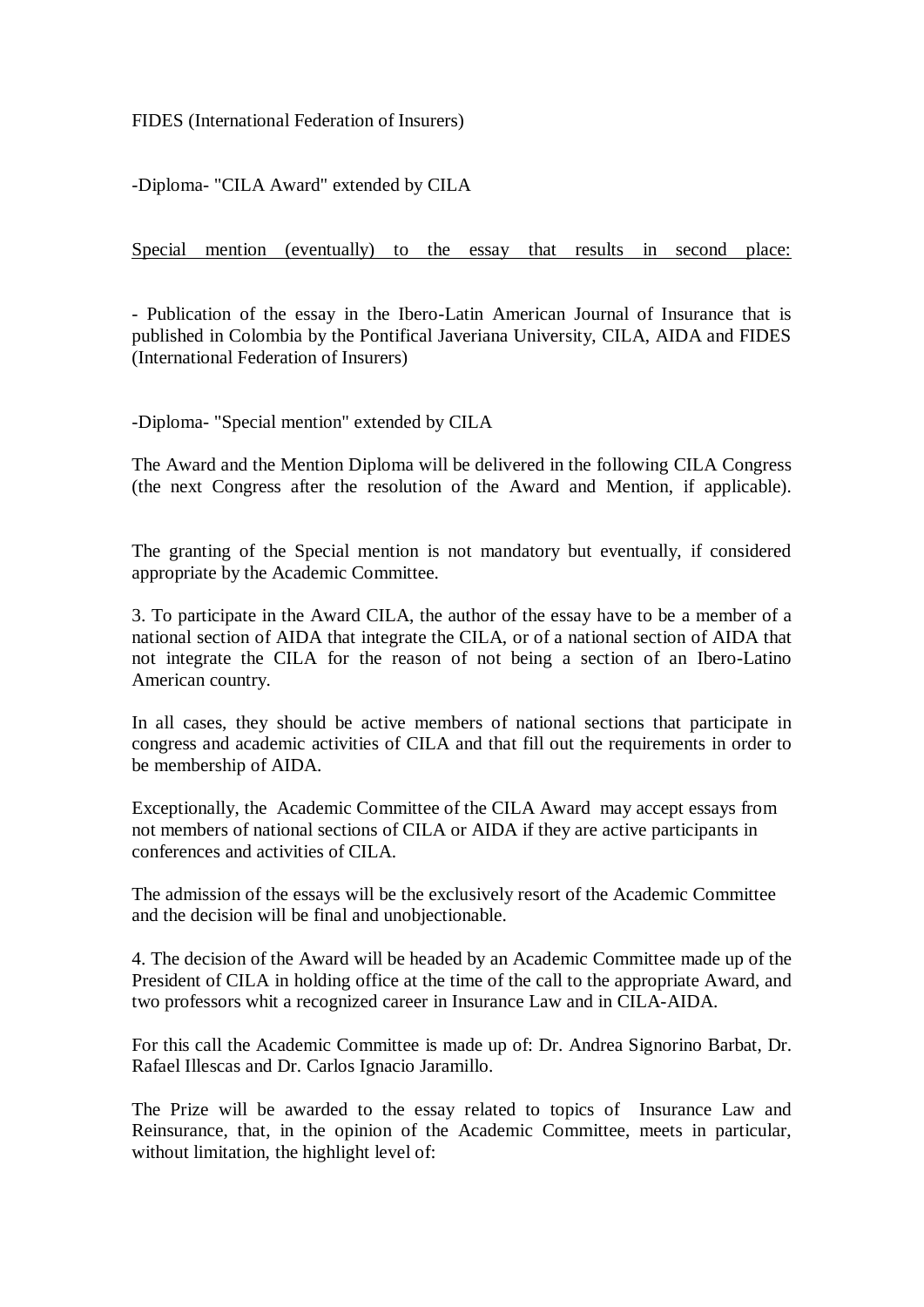FIDES (International Federation of Insurers)

-Diploma- "CILA Award" extended by CILA

Special mention (eventually) to the essay that results in second place:

- Publication of the essay in the Ibero-Latin American Journal of Insurance that is published in Colombia by the Pontifical Javeriana University, CILA, AIDA and FIDES (International Federation of Insurers)

-Diploma- "Special mention" extended by CILA

The Award and the Mention Diploma will be delivered in the following CILA Congress (the next Congress after the resolution of the Award and Mention, if applicable).

The granting of the Special mention is not mandatory but eventually, if considered appropriate by the Academic Committee.

3. To participate in the Award CILA, the author of the essay have to be a member of a national section of AIDA that integrate the CILA, or of a national section of AIDA that not integrate the CILA for the reason of not being a section of an Ibero-Latino American country.

In all cases, they should be active members of national sections that participate in congress and academic activities of CILA and that fill out the requirements in order to be membership of AIDA.

Exceptionally, the Academic Committee of the CILA Award may accept essays from not members of national sections of CILA or AIDA if they are active participants in conferences and activities of CILA.

The admission of the essays will be the exclusively resort of the Academic Committee and the decision will be final and unobjectionable.

4. The decision of the Award will be headed by an Academic Committee made up of the President of CILA in holding office at the time of the call to the appropriate Award, and two professors whit a recognized career in Insurance Law and in CILA-AIDA.

For this call the Academic Committee is made up of: Dr. Andrea Signorino Barbat, Dr. Rafael Illescas and Dr. Carlos Ignacio Jaramillo.

The Prize will be awarded to the essay related to topics of Insurance Law and Reinsurance, that, in the opinion of the Academic Committee, meets in particular, without limitation, the highlight level of: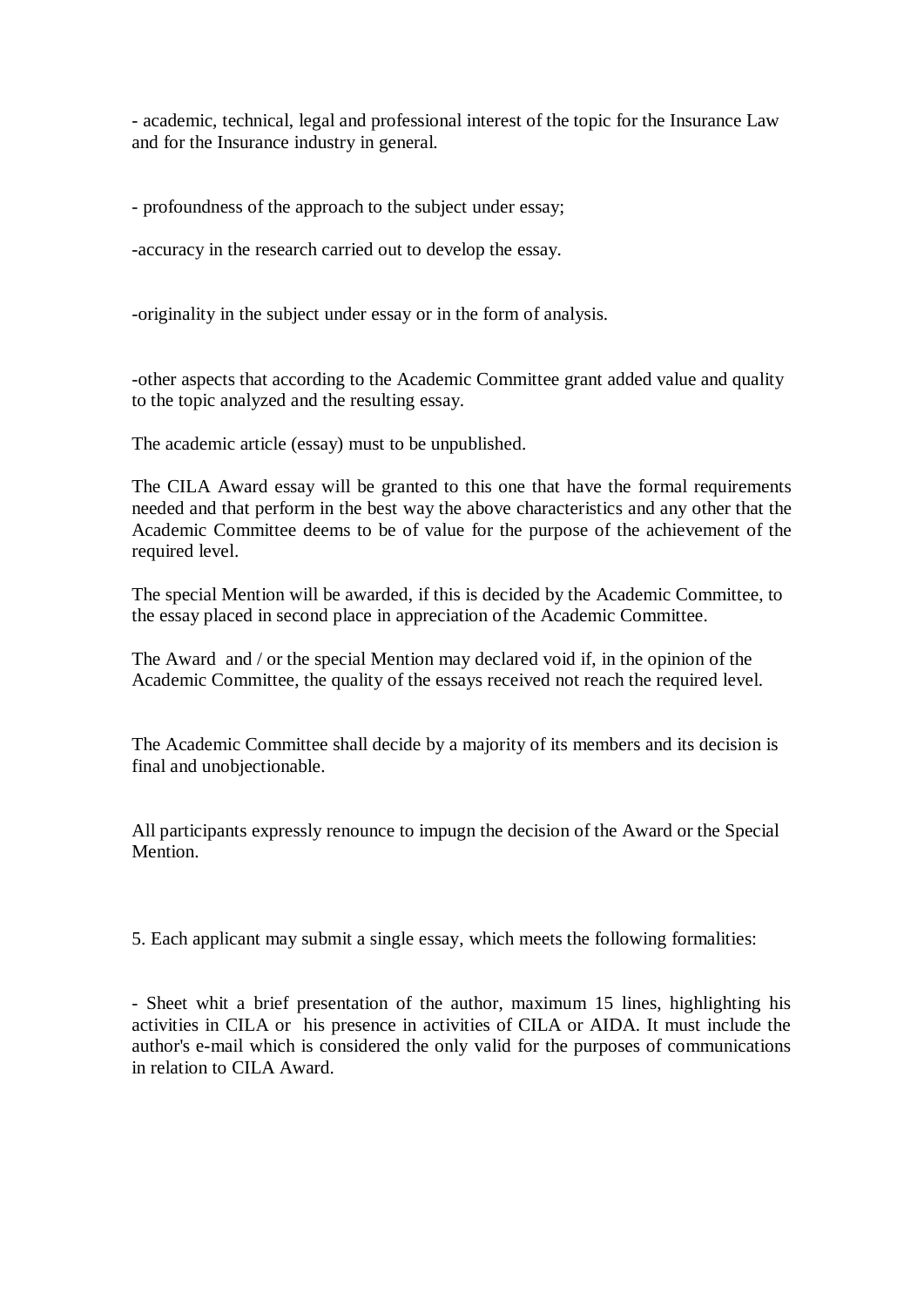- academic, technical, legal and professional interest of the topic for the Insurance Law and for the Insurance industry in general.

- profoundness of the approach to the subject under essay;

-accuracy in the research carried out to develop the essay.

-originality in the subject under essay or in the form of analysis.

-other aspects that according to the Academic Committee grant added value and quality to the topic analyzed and the resulting essay.

The academic article (essay) must to be unpublished.

The CILA Award essay will be granted to this one that have the formal requirements needed and that perform in the best way the above characteristics and any other that the Academic Committee deems to be of value for the purpose of the achievement of the required level.

The special Mention will be awarded, if this is decided by the Academic Committee, to the essay placed in second place in appreciation of the Academic Committee.

The Award and / or the special Mention may declared void if, in the opinion of the Academic Committee, the quality of the essays received not reach the required level.

The Academic Committee shall decide by a majority of its members and its decision is final and unobjectionable.

All participants expressly renounce to impugn the decision of the Award or the Special Mention.

5. Each applicant may submit a single essay, which meets the following formalities:

- Sheet whit a brief presentation of the author, maximum 15 lines, highlighting his activities in CILA or his presence in activities of CILA or AIDA. It must include the author's e-mail which is considered the only valid for the purposes of communications in relation to CILA Award.